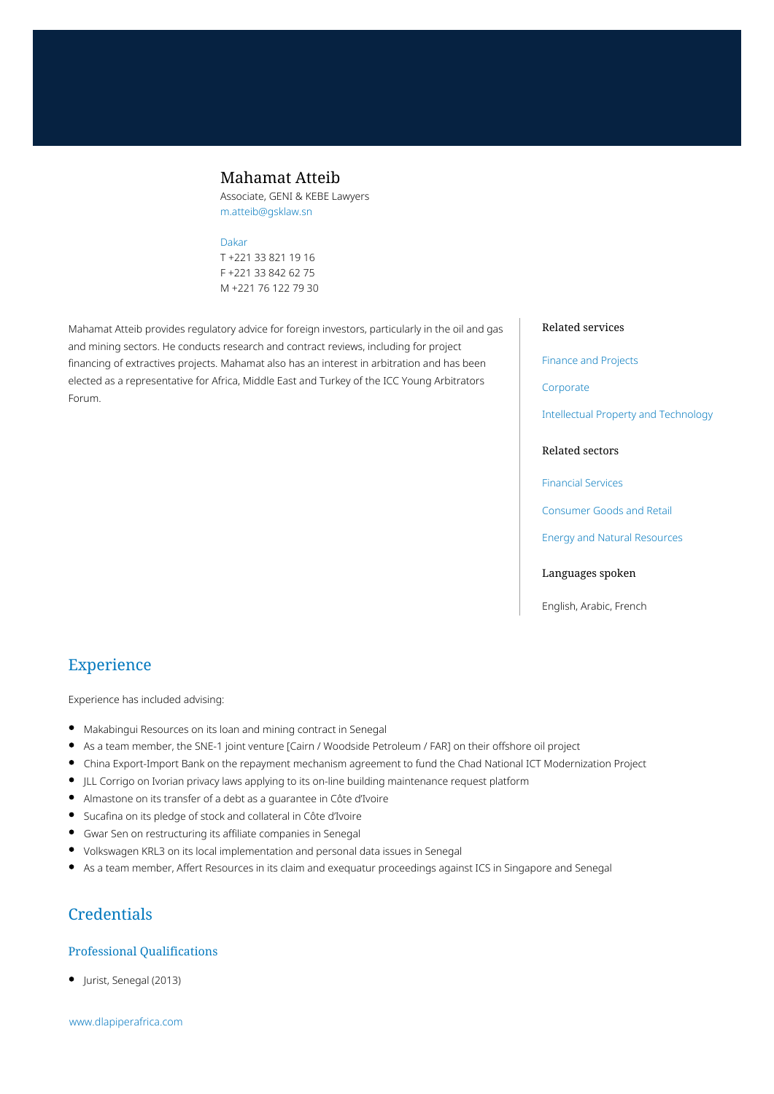## Mahamat Atteib

Associate, GENI & KEBE Lawyers m.atteib@gsklaw.sn

#### [Dakar](https://www.dlapiperafrica.com/senegal/locations/dakar.html)

T +221 33 821 19 16 F +221 33 842 62 75 M +221 76 122 79 30

Mahamat Atteib provides regulatory advice for foreign investors, particularly in the oil and gas and mining sectors. He conducts research and contract reviews, including for project financing of extractives projects. Mahamat also has an interest in arbitration and has been elected as a representative for Africa, Middle East and Turkey of the ICC Young Arbitrators Forum.

#### Related services

[Finance and Projects](https://www.dlapiperafrica.com/en/senegal/services/finance-and-projects.html)

[Corporate](https://www.dlapiperafrica.com/en/senegal/services/corporate.html)

[Intellectual Property and Technology](https://www.dlapiperafrica.com/en/senegal/services/intellectual-property-and-technology.html)

#### Related sectors

[Financial Services](https://www.dlapiperafrica.com/en/senegal/sectors/financial-services.html)

[Consumer Goods and Retail](https://www.dlapiperafrica.com/en/senegal/sectors/consumer-goods-and-retail.html)

[Energy and Natural Resources](https://www.dlapiperafrica.com/en/senegal/sectors/energy-and-natural-resources.html)

#### Languages spoken

English, Arabic, French

# Experience

Experience has included advising:

- Makabingui Resources on its loan and mining contract in Senegal
- As a team member, the SNE-1 joint venture [Cairn / Woodside Petroleum / FAR] on their offshore oil project
- China Export-Import Bank on the repayment mechanism agreement to fund the Chad National ICT Modernization Project
- JLL Corrigo on Ivorian privacy laws applying to its on-line building maintenance request platform
- $\bullet$ Almastone on its transfer of a debt as a guarantee in Côte d'Ivoire
- Sucafina on its pledge of stock and collateral in Côte d'Ivoire
- Gwar Sen on restructuring its affiliate companies in Senegal
- Volkswagen KRL3 on its local implementation and personal data issues in Senegal
- As a team member, Affert Resources in its claim and exequatur proceedings against ICS in Singapore and Senegal

# **Credentials**

#### Professional Qualifications

Jurist, Senegal (2013)